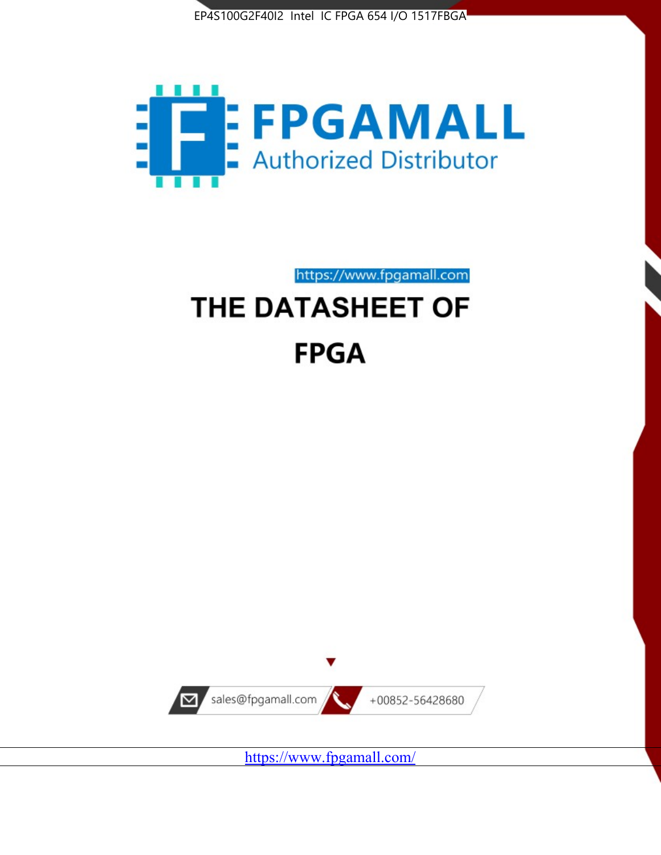



https://www.fpgamall.com THE DATASHEET OF

# **FPGA**



<https://www.fpgamall.com/>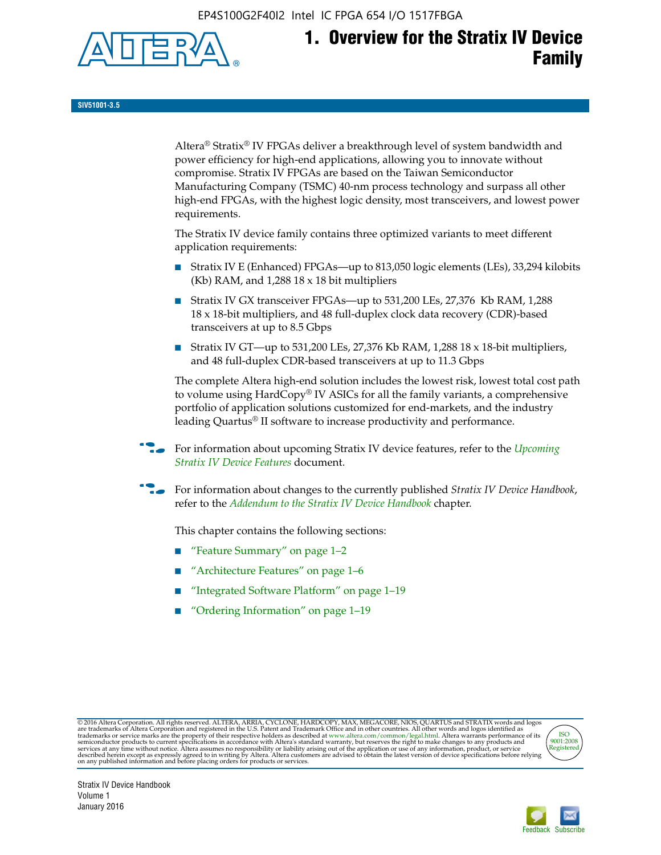EP4S100G2F40I2 Intel IC FPGA 654 I/O 1517FBGA



**SIV51001-3.5**

Altera® Stratix® IV FPGAs deliver a breakthrough level of system bandwidth and power efficiency for high-end applications, allowing you to innovate without compromise. Stratix IV FPGAs are based on the Taiwan Semiconductor Manufacturing Company (TSMC) 40-nm process technology and surpass all other high-end FPGAs, with the highest logic density, most transceivers, and lowest power requirements.

The Stratix IV device family contains three optimized variants to meet different application requirements:

- Stratix IV E (Enhanced) FPGAs—up to 813,050 logic elements (LEs), 33,294 kilobits (Kb) RAM, and 1,288 18 x 18 bit multipliers
- Stratix IV GX transceiver FPGAs—up to 531,200 LEs, 27,376 Kb RAM, 1,288 18 x 18-bit multipliers, and 48 full-duplex clock data recovery (CDR)-based transceivers at up to 8.5 Gbps
- Stratix IV GT—up to 531,200 LEs, 27,376 Kb RAM, 1,288 18 x 18-bit multipliers, and 48 full-duplex CDR-based transceivers at up to 11.3 Gbps

The complete Altera high-end solution includes the lowest risk, lowest total cost path to volume using HardCopy® IV ASICs for all the family variants, a comprehensive portfolio of application solutions customized for end-markets, and the industry leading Quartus® II software to increase productivity and performance.

f For information about upcoming Stratix IV device features, refer to the *[Upcoming](http://www.altera.com/literature/hb/stratix-iv/uf01001.pdf?GSA_pos=2&WT.oss_r=1&WT.oss=upcoming)  [Stratix IV Device Features](http://www.altera.com/literature/hb/stratix-iv/uf01001.pdf?GSA_pos=2&WT.oss_r=1&WT.oss=upcoming)* document.

f For information about changes to the currently published *Stratix IV Device Handbook*, refer to the *[Addendum to the Stratix IV Device Handbook](http://www.altera.com/literature/hb/stratix-iv/stx4_siv54002.pdf)* chapter.

This chapter contains the following sections:

- "Feature Summary" on page 1–2
- "Architecture Features" on page 1–6
- "Integrated Software Platform" on page 1–19
- "Ordering Information" on page 1–19

@2016 Altera Corporation. All rights reserved. ALTERA, ARRIA, CYCLONE, HARDCOPY, MAX, MEGACORE, NIOS, QUARTUS and STRATIX words and logos are trademarks of Altera Corporation and registered in the U.S. Patent and Trademark



Stratix IV Device Handbook Volume 1 January 2016

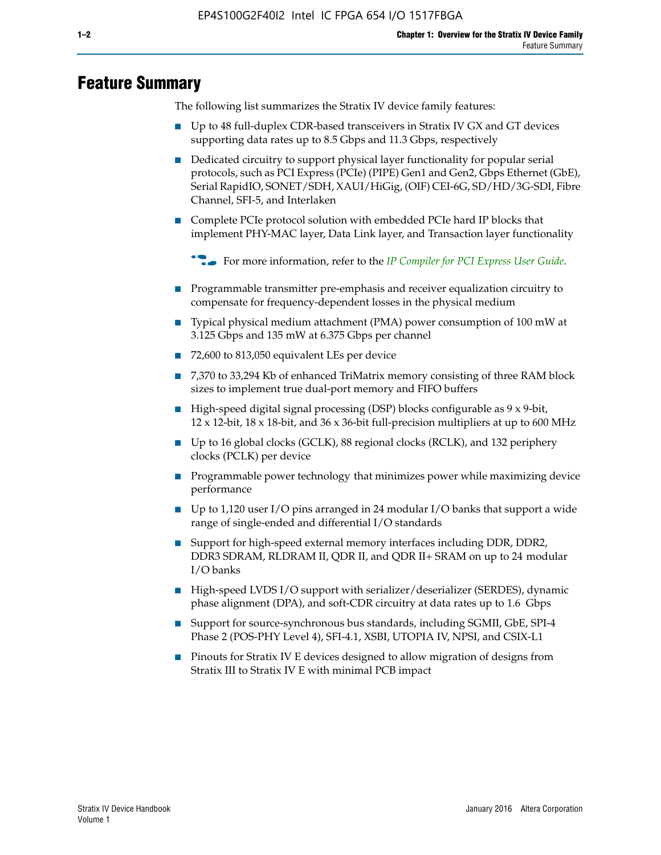# **Feature Summary**

The following list summarizes the Stratix IV device family features:

- Up to 48 full-duplex CDR-based transceivers in Stratix IV GX and GT devices supporting data rates up to 8.5 Gbps and 11.3 Gbps, respectively
- Dedicated circuitry to support physical layer functionality for popular serial protocols, such as PCI Express (PCIe) (PIPE) Gen1 and Gen2, Gbps Ethernet (GbE), Serial RapidIO, SONET/SDH, XAUI/HiGig, (OIF) CEI-6G, SD/HD/3G-SDI, Fibre Channel, SFI-5, and Interlaken
- Complete PCIe protocol solution with embedded PCIe hard IP blocks that implement PHY-MAC layer, Data Link layer, and Transaction layer functionality

**For more information, refer to the** *[IP Compiler for PCI Express User Guide](http://www.altera.com/literature/ug/ug_pci_express.pdf)***.** 

- Programmable transmitter pre-emphasis and receiver equalization circuitry to compensate for frequency-dependent losses in the physical medium
- Typical physical medium attachment (PMA) power consumption of 100 mW at 3.125 Gbps and 135 mW at 6.375 Gbps per channel
- 72,600 to 813,050 equivalent LEs per device
- 7,370 to 33,294 Kb of enhanced TriMatrix memory consisting of three RAM block sizes to implement true dual-port memory and FIFO buffers
- High-speed digital signal processing (DSP) blocks configurable as 9 x 9-bit,  $12 \times 12$ -bit,  $18 \times 18$ -bit, and  $36 \times 36$ -bit full-precision multipliers at up to 600 MHz
- Up to 16 global clocks (GCLK), 88 regional clocks (RCLK), and 132 periphery clocks (PCLK) per device
- Programmable power technology that minimizes power while maximizing device performance
- Up to 1,120 user I/O pins arranged in 24 modular I/O banks that support a wide range of single-ended and differential I/O standards
- Support for high-speed external memory interfaces including DDR, DDR2, DDR3 SDRAM, RLDRAM II, QDR II, and QDR II+ SRAM on up to 24 modular I/O banks
- High-speed LVDS I/O support with serializer/deserializer (SERDES), dynamic phase alignment (DPA), and soft-CDR circuitry at data rates up to 1.6 Gbps
- Support for source-synchronous bus standards, including SGMII, GbE, SPI-4 Phase 2 (POS-PHY Level 4), SFI-4.1, XSBI, UTOPIA IV, NPSI, and CSIX-L1
- Pinouts for Stratix IV E devices designed to allow migration of designs from Stratix III to Stratix IV E with minimal PCB impact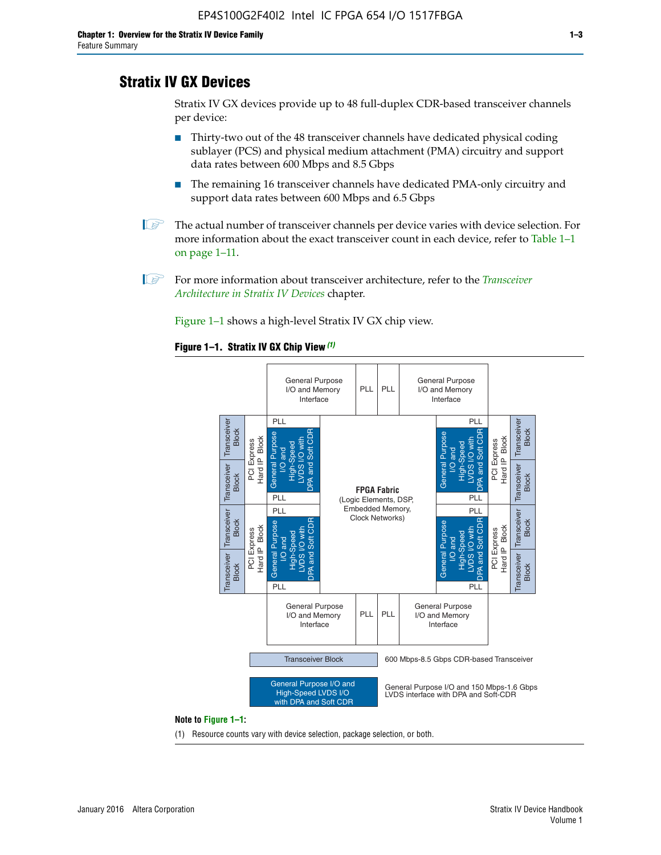# **Stratix IV GX Devices**

Stratix IV GX devices provide up to 48 full-duplex CDR-based transceiver channels per device:

- Thirty-two out of the 48 transceiver channels have dedicated physical coding sublayer (PCS) and physical medium attachment (PMA) circuitry and support data rates between 600 Mbps and 8.5 Gbps
- The remaining 16 transceiver channels have dedicated PMA-only circuitry and support data rates between 600 Mbps and 6.5 Gbps
- **1 The actual number of transceiver channels per device varies with device selection. For** more information about the exact transceiver count in each device, refer to Table 1–1 on page 1–11.
- 1 For more information about transceiver architecture, refer to the *[Transceiver](http://www.altera.com/literature/hb/stratix-iv/stx4_siv52001.pdf)  [Architecture in Stratix IV Devices](http://www.altera.com/literature/hb/stratix-iv/stx4_siv52001.pdf)* chapter.

Figure 1–1 shows a high-level Stratix IV GX chip view.

#### **Figure 1–1. Stratix IV GX Chip View** *(1)*



#### **Note to Figure 1–1:**

(1) Resource counts vary with device selection, package selection, or both.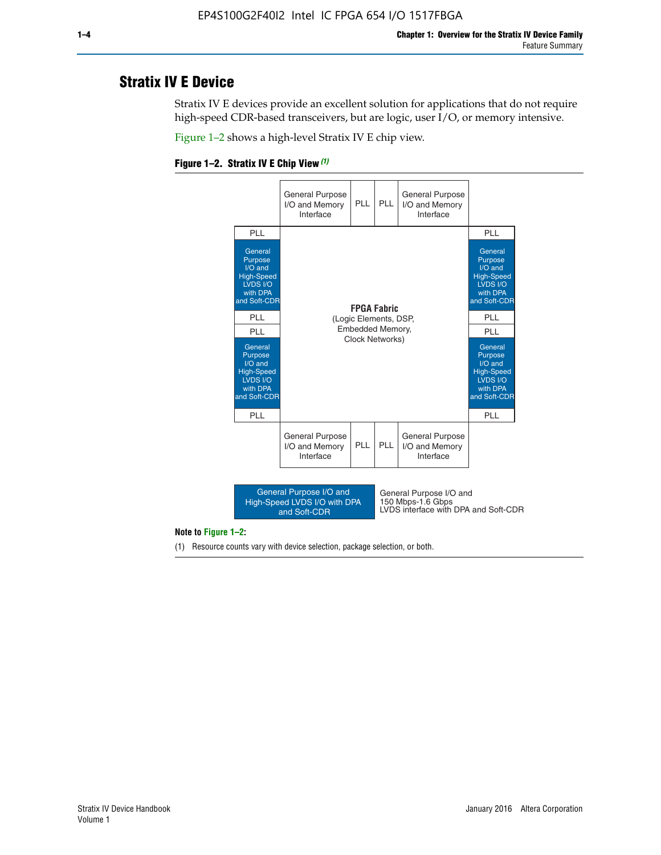# **Stratix IV E Device**

Stratix IV E devices provide an excellent solution for applications that do not require high-speed CDR-based transceivers, but are logic, user I/O, or memory intensive.

Figure 1–2 shows a high-level Stratix IV E chip view.





#### **Note to Figure 1–2:**

(1) Resource counts vary with device selection, package selection, or both.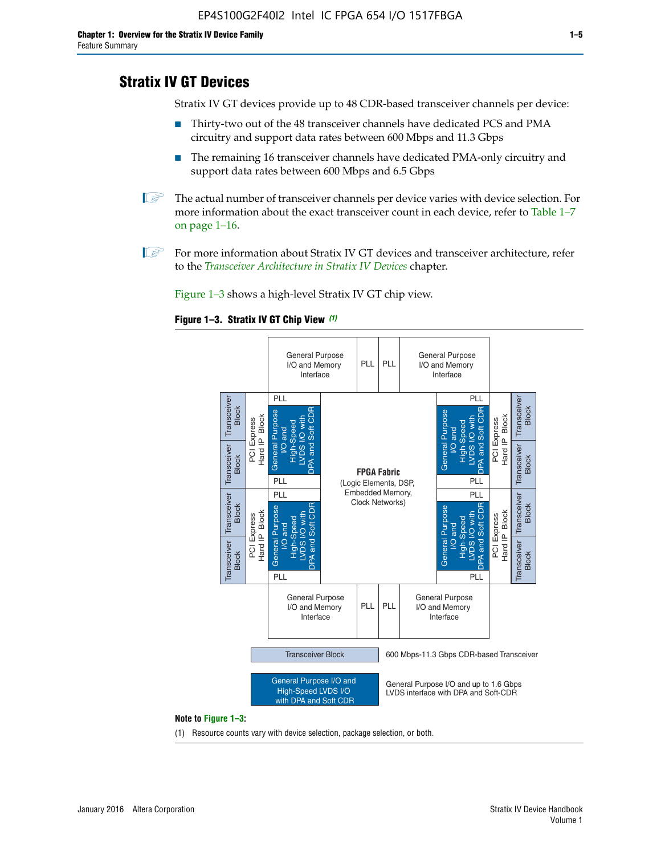# **Stratix IV GT Devices**

Stratix IV GT devices provide up to 48 CDR-based transceiver channels per device:

- Thirty-two out of the 48 transceiver channels have dedicated PCS and PMA circuitry and support data rates between 600 Mbps and 11.3 Gbps
- The remaining 16 transceiver channels have dedicated PMA-only circuitry and support data rates between 600 Mbps and 6.5 Gbps
- **1** The actual number of transceiver channels per device varies with device selection. For more information about the exact transceiver count in each device, refer to Table 1–7 on page 1–16.
- $\mathbb{I}$  For more information about Stratix IV GT devices and transceiver architecture, refer to the *[Transceiver Architecture in Stratix IV Devices](http://www.altera.com/literature/hb/stratix-iv/stx4_siv52001.pdf)* chapter.

Figure 1–3 shows a high-level Stratix IV GT chip view.





(1) Resource counts vary with device selection, package selection, or both.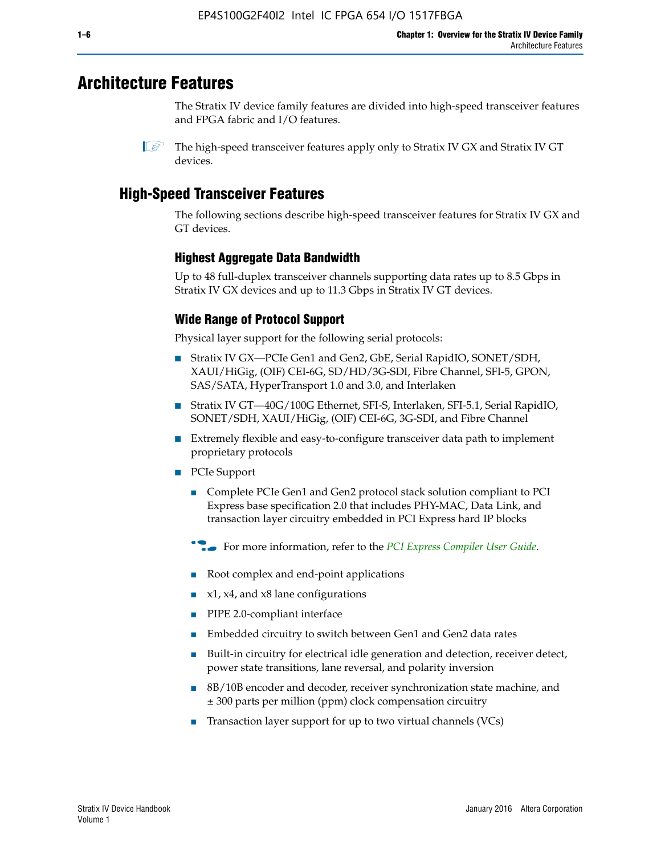# **Architecture Features**

The Stratix IV device family features are divided into high-speed transceiver features and FPGA fabric and I/O features.

 $\mathbb{I}$  The high-speed transceiver features apply only to Stratix IV GX and Stratix IV GT devices.

# **High-Speed Transceiver Features**

The following sections describe high-speed transceiver features for Stratix IV GX and GT devices.

## **Highest Aggregate Data Bandwidth**

Up to 48 full-duplex transceiver channels supporting data rates up to 8.5 Gbps in Stratix IV GX devices and up to 11.3 Gbps in Stratix IV GT devices.

## **Wide Range of Protocol Support**

Physical layer support for the following serial protocols:

- Stratix IV GX—PCIe Gen1 and Gen2, GbE, Serial RapidIO, SONET/SDH, XAUI/HiGig, (OIF) CEI-6G, SD/HD/3G-SDI, Fibre Channel, SFI-5, GPON, SAS/SATA, HyperTransport 1.0 and 3.0, and Interlaken
- Stratix IV GT—40G/100G Ethernet, SFI-S, Interlaken, SFI-5.1, Serial RapidIO, SONET/SDH, XAUI/HiGig, (OIF) CEI-6G, 3G-SDI, and Fibre Channel
- Extremely flexible and easy-to-configure transceiver data path to implement proprietary protocols
- PCIe Support
	- Complete PCIe Gen1 and Gen2 protocol stack solution compliant to PCI Express base specification 2.0 that includes PHY-MAC, Data Link, and transaction layer circuitry embedded in PCI Express hard IP blocks
	- **For more information, refer to the [PCI Express Compiler User Guide](http://www.altera.com/literature/ug/ug_pci_express.pdf).**
	- Root complex and end-point applications
	- $x1, x4,$  and  $x8$  lane configurations
	- PIPE 2.0-compliant interface
	- Embedded circuitry to switch between Gen1 and Gen2 data rates
	- Built-in circuitry for electrical idle generation and detection, receiver detect, power state transitions, lane reversal, and polarity inversion
	- 8B/10B encoder and decoder, receiver synchronization state machine, and ± 300 parts per million (ppm) clock compensation circuitry
	- Transaction layer support for up to two virtual channels (VCs)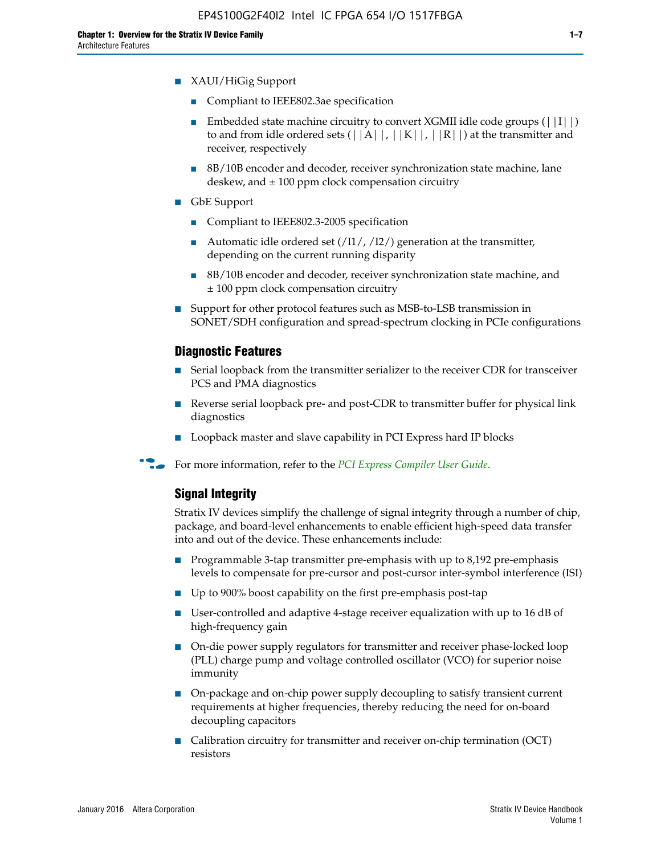- Compliant to IEEE802.3ae specification
- **■** Embedded state machine circuitry to convert XGMII idle code groups  $(|11|)$ to and from idle ordered sets  $(|A|, |K|, |R|)$  at the transmitter and receiver, respectively
- 8B/10B encoder and decoder, receiver synchronization state machine, lane deskew, and  $\pm 100$  ppm clock compensation circuitry
- GbE Support
	- Compliant to IEEE802.3-2005 specification
	- Automatic idle ordered set  $(111/112/1)$  generation at the transmitter, depending on the current running disparity
	- 8B/10B encoder and decoder, receiver synchronization state machine, and ± 100 ppm clock compensation circuitry
- Support for other protocol features such as MSB-to-LSB transmission in SONET/SDH configuration and spread-spectrum clocking in PCIe configurations

## **Diagnostic Features**

- Serial loopback from the transmitter serializer to the receiver CDR for transceiver PCS and PMA diagnostics
- Reverse serial loopback pre- and post-CDR to transmitter buffer for physical link diagnostics
- Loopback master and slave capability in PCI Express hard IP blocks
- **For more information, refer to the** *[PCI Express Compiler User Guide](http://www.altera.com/literature/ug/ug_pci_express.pdf)***.**

## **Signal Integrity**

Stratix IV devices simplify the challenge of signal integrity through a number of chip, package, and board-level enhancements to enable efficient high-speed data transfer into and out of the device. These enhancements include:

- Programmable 3-tap transmitter pre-emphasis with up to 8,192 pre-emphasis levels to compensate for pre-cursor and post-cursor inter-symbol interference (ISI)
- Up to 900% boost capability on the first pre-emphasis post-tap
- User-controlled and adaptive 4-stage receiver equalization with up to 16 dB of high-frequency gain
- On-die power supply regulators for transmitter and receiver phase-locked loop (PLL) charge pump and voltage controlled oscillator (VCO) for superior noise immunity
- On-package and on-chip power supply decoupling to satisfy transient current requirements at higher frequencies, thereby reducing the need for on-board decoupling capacitors
- Calibration circuitry for transmitter and receiver on-chip termination (OCT) resistors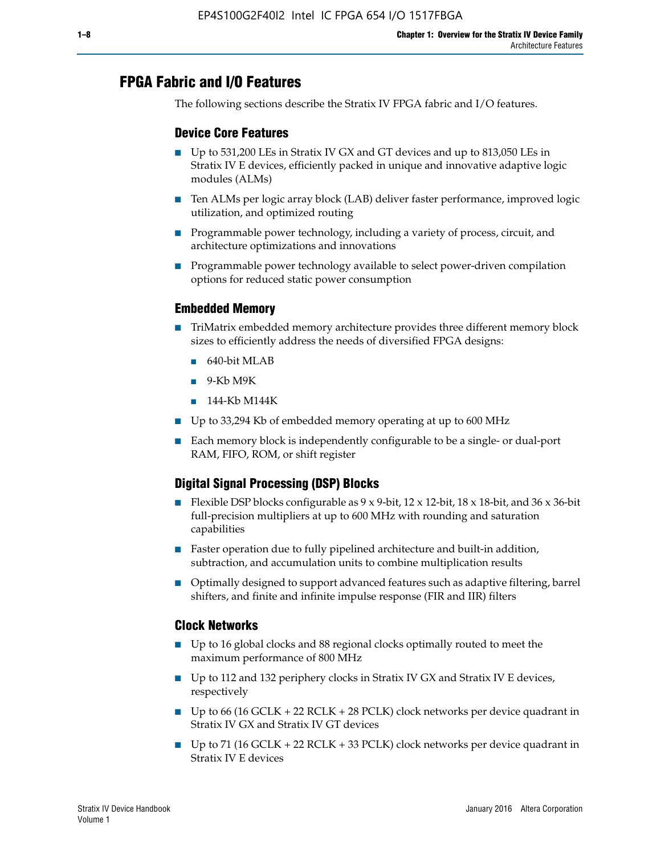# **FPGA Fabric and I/O Features**

The following sections describe the Stratix IV FPGA fabric and I/O features.

## **Device Core Features**

- Up to 531,200 LEs in Stratix IV GX and GT devices and up to 813,050 LEs in Stratix IV E devices, efficiently packed in unique and innovative adaptive logic modules (ALMs)
- Ten ALMs per logic array block (LAB) deliver faster performance, improved logic utilization, and optimized routing
- Programmable power technology, including a variety of process, circuit, and architecture optimizations and innovations
- Programmable power technology available to select power-driven compilation options for reduced static power consumption

### **Embedded Memory**

- TriMatrix embedded memory architecture provides three different memory block sizes to efficiently address the needs of diversified FPGA designs:
	- 640-bit MLAB
	- 9-Kb M9K
	- 144-Kb M144K
- Up to 33,294 Kb of embedded memory operating at up to 600 MHz
- Each memory block is independently configurable to be a single- or dual-port RAM, FIFO, ROM, or shift register

## **Digital Signal Processing (DSP) Blocks**

- Flexible DSP blocks configurable as  $9 \times 9$ -bit,  $12 \times 12$ -bit,  $18 \times 18$ -bit, and  $36 \times 36$ -bit full-precision multipliers at up to 600 MHz with rounding and saturation capabilities
- Faster operation due to fully pipelined architecture and built-in addition, subtraction, and accumulation units to combine multiplication results
- Optimally designed to support advanced features such as adaptive filtering, barrel shifters, and finite and infinite impulse response (FIR and IIR) filters

#### **Clock Networks**

- Up to 16 global clocks and 88 regional clocks optimally routed to meet the maximum performance of 800 MHz
- Up to 112 and 132 periphery clocks in Stratix IV GX and Stratix IV E devices, respectively
- Up to 66 (16 GCLK + 22 RCLK + 28 PCLK) clock networks per device quadrant in Stratix IV GX and Stratix IV GT devices
- Up to 71 (16 GCLK + 22 RCLK + 33 PCLK) clock networks per device quadrant in Stratix IV E devices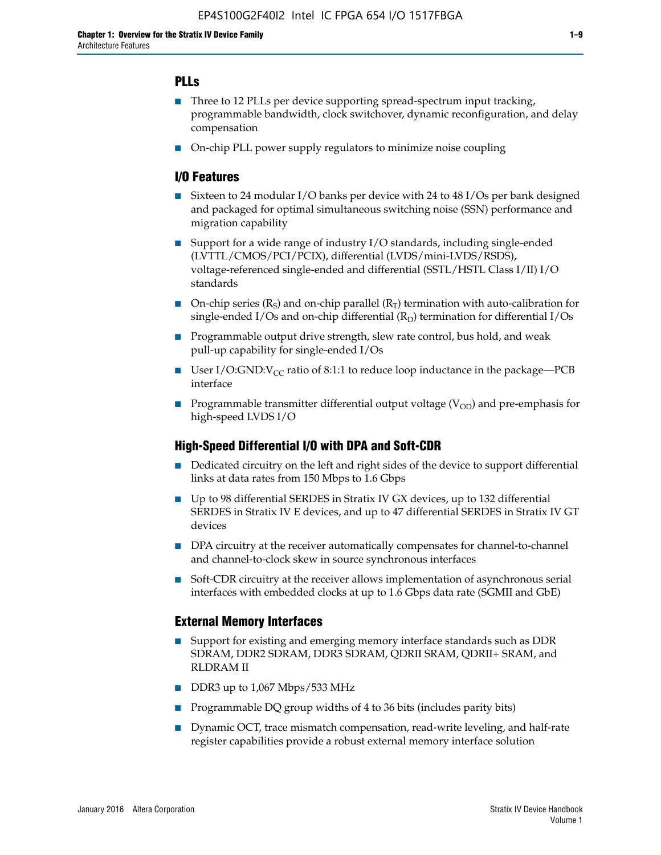## **PLLs**

- Three to 12 PLLs per device supporting spread-spectrum input tracking, programmable bandwidth, clock switchover, dynamic reconfiguration, and delay compensation
- On-chip PLL power supply regulators to minimize noise coupling

## **I/O Features**

- Sixteen to 24 modular I/O banks per device with 24 to 48 I/Os per bank designed and packaged for optimal simultaneous switching noise (SSN) performance and migration capability
- Support for a wide range of industry I/O standards, including single-ended (LVTTL/CMOS/PCI/PCIX), differential (LVDS/mini-LVDS/RSDS), voltage-referenced single-ended and differential (SSTL/HSTL Class I/II) I/O standards
- **O**n-chip series  $(R_S)$  and on-chip parallel  $(R_T)$  termination with auto-calibration for single-ended I/Os and on-chip differential  $(R_D)$  termination for differential I/Os
- Programmable output drive strength, slew rate control, bus hold, and weak pull-up capability for single-ended I/Os
- User I/O:GND: $V_{CC}$  ratio of 8:1:1 to reduce loop inductance in the package—PCB interface
- **■** Programmable transmitter differential output voltage ( $V_{OD}$ ) and pre-emphasis for high-speed LVDS I/O

#### **High-Speed Differential I/O with DPA and Soft-CDR**

- Dedicated circuitry on the left and right sides of the device to support differential links at data rates from 150 Mbps to 1.6 Gbps
- Up to 98 differential SERDES in Stratix IV GX devices, up to 132 differential SERDES in Stratix IV E devices, and up to 47 differential SERDES in Stratix IV GT devices
- DPA circuitry at the receiver automatically compensates for channel-to-channel and channel-to-clock skew in source synchronous interfaces
- Soft-CDR circuitry at the receiver allows implementation of asynchronous serial interfaces with embedded clocks at up to 1.6 Gbps data rate (SGMII and GbE)

#### **External Memory Interfaces**

- Support for existing and emerging memory interface standards such as DDR SDRAM, DDR2 SDRAM, DDR3 SDRAM, QDRII SRAM, QDRII+ SRAM, and RLDRAM II
- DDR3 up to 1,067 Mbps/533 MHz
- Programmable DQ group widths of 4 to 36 bits (includes parity bits)
- Dynamic OCT, trace mismatch compensation, read-write leveling, and half-rate register capabilities provide a robust external memory interface solution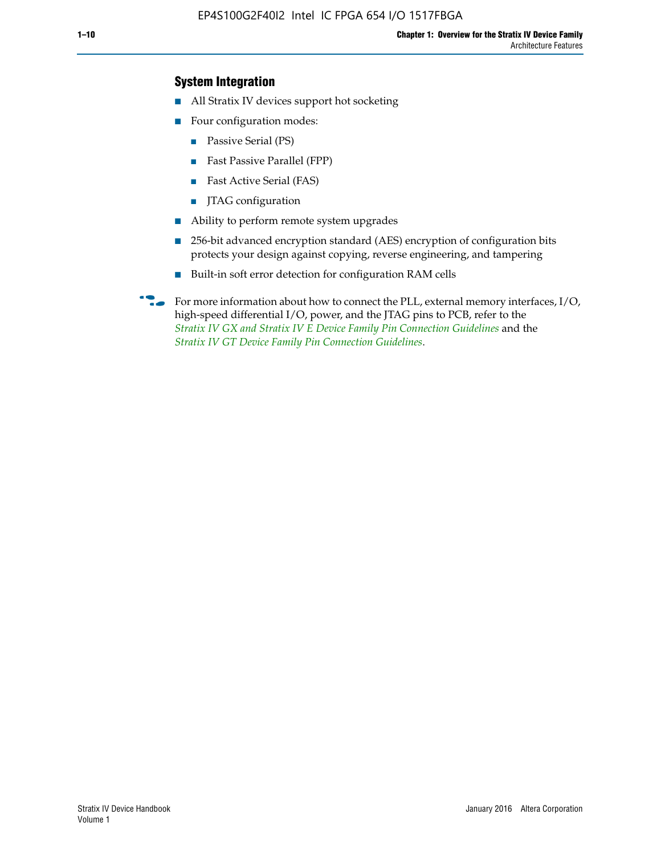## **System Integration**

- All Stratix IV devices support hot socketing
- Four configuration modes:
	- Passive Serial (PS)
	- Fast Passive Parallel (FPP)
	- Fast Active Serial (FAS)
	- JTAG configuration
- Ability to perform remote system upgrades
- 256-bit advanced encryption standard (AES) encryption of configuration bits protects your design against copying, reverse engineering, and tampering
- Built-in soft error detection for configuration RAM cells
- For more information about how to connect the PLL, external memory interfaces,  $I/O$ , high-speed differential I/O, power, and the JTAG pins to PCB, refer to the *[Stratix IV GX and Stratix IV E Device Family Pin Connection Guidelines](http://www.altera.com/literature/dp/stratix4/PCG-01005.pdf)* and the *[Stratix IV GT Device Family Pin Connection Guidelines](http://www.altera.com/literature/dp/stratix4/PCG-01006.pdf)*.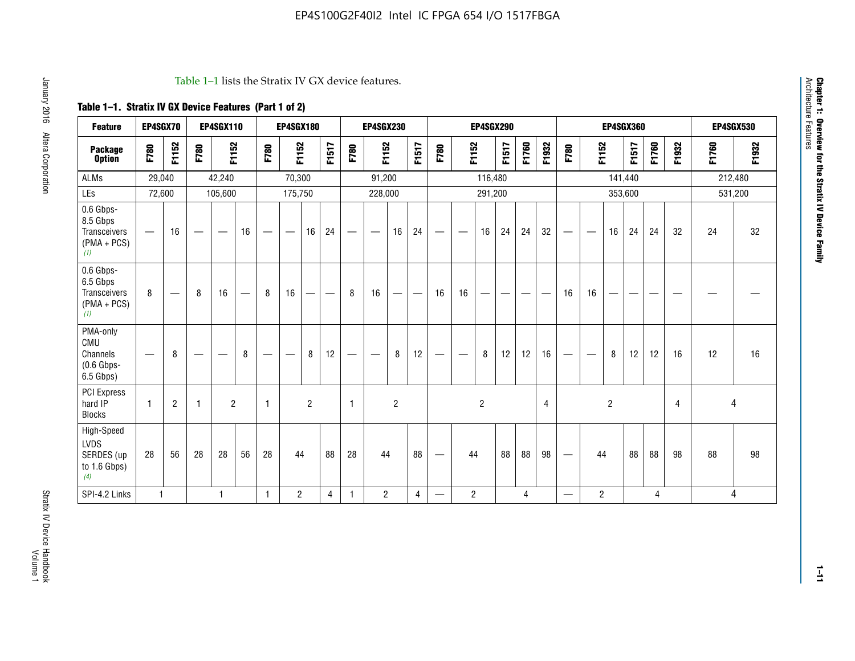#### Table 1–1 lists the Stratix IV GX device features.

## **Table 1–1. Stratix IV GX Device Features (Part 1 of 2)**

| <b>Feature</b>                                                | EP4SGX70                        |                                |                   | <b>EP4SGX110</b> |    |                   | <b>EP4SGX180</b>  |                |       |              | <b>EP4SGX230</b> |                   |                          |                                 |                | <b>EP4SGX290</b> |                               |       |       |                                 |                          |                | <b>EP4SGX360</b> |       |       |       | <b>EP4SGX530</b> |
|---------------------------------------------------------------|---------------------------------|--------------------------------|-------------------|------------------|----|-------------------|-------------------|----------------|-------|--------------|------------------|-------------------|--------------------------|---------------------------------|----------------|------------------|-------------------------------|-------|-------|---------------------------------|--------------------------|----------------|------------------|-------|-------|-------|------------------|
| <b>Package</b><br><b>Option</b>                               | F780                            | F1152                          | F780              | F1152            |    | F780              | F1152             |                | F1517 | F780         | F1152            |                   | F1517                    | F780                            | F1152          |                  | F1517                         | F1760 | F1932 | F780                            | F1152                    |                | <b>F1517</b>     | F1760 | F1932 | F1760 | F1932            |
| <b>ALMs</b>                                                   | 29,040                          |                                |                   | 42,240           |    |                   | 70,300            |                |       |              | 91,200           |                   |                          |                                 |                | 116,480          |                               |       |       |                                 |                          | 141,440        |                  |       |       |       | 212,480          |
| LEs                                                           | 72,600                          |                                |                   | 105,600          |    |                   | 175,750           |                |       |              | 228,000          |                   |                          |                                 |                | 291,200          |                               |       |       |                                 |                          | 353,600        |                  |       |       |       | 531,200          |
| 0.6 Gbps-<br>8.5 Gbps<br>Transceivers<br>$(PMA + PCs)$<br>(1) | —                               | 16                             |                   |                  | 16 |                   |                   | 16             | 24    |              |                  | 16                | 24                       | $\qquad \qquad$                 |                | 16               | 24                            | 24    | 32    | $\hspace{0.1mm}-\hspace{0.1mm}$ |                          | 16             | 24               | 24    | 32    | 24    | 32               |
| 0.6 Gbps-<br>6.5 Gbps<br>Transceivers<br>$(PMA + PCs)$<br>(1) | 8                               | $\qquad \qquad \longleftarrow$ | 8                 | 16               |    | 8                 | 16                | —              |       | 8            | 16               | $\hspace{0.05cm}$ | $\overline{\phantom{m}}$ | 16                              | 16             | —                | $\overbrace{\phantom{aaaaa}}$ |       |       | 16                              | 16                       | —              |                  |       |       |       |                  |
| PMA-only<br>CMU<br>Channels<br>$(0.6$ Gbps-<br>6.5 Gbps)      | $\hspace{0.1mm}-\hspace{0.1mm}$ | 8                              | $\hspace{0.05cm}$ |                  | 8  | $\hspace{0.05cm}$ | $\hspace{0.05cm}$ | 8              | 12    |              |                  | 8                 | 12                       | $\hspace{0.1mm}-\hspace{0.1mm}$ |                | 8                | 12                            | 12    | 16    | $\qquad \qquad -$               | $\overline{\phantom{m}}$ | 8              | 12               | 12    | 16    | 12    | 16               |
| <b>PCI Express</b><br>hard IP<br><b>Blocks</b>                | $\mathbf{1}$                    | $\overline{c}$                 | -1                | $\overline{2}$   |    | $\mathbf{1}$      |                   | $\overline{2}$ |       | $\mathbf{1}$ |                  | $\overline{c}$    |                          |                                 |                | $\overline{c}$   |                               |       | 4     |                                 |                          | $\overline{2}$ |                  |       | 4     |       | 4                |
| High-Speed<br>LVDS<br>SERDES (up<br>to 1.6 Gbps)<br>(4)       | 28                              | 56                             | 28                | 28               | 56 | 28                | 44                |                | 88    | 28           | 44               |                   | 88                       | $\hspace{0.1mm}-\hspace{0.1mm}$ | 44             |                  | 88                            | 88    | 98    | $\hspace{0.1mm}-\hspace{0.1mm}$ | 44                       |                | 88               | 88    | 98    | 88    | 98               |
| SPI-4.2 Links                                                 | $\mathbf{1}$                    |                                |                   | $\mathbf{1}$     |    | $\mathbf{1}$      | $\overline{c}$    |                | 4     | $\mathbf{1}$ | $\overline{c}$   |                   | 4                        | $\qquad \qquad \longleftarrow$  | $\overline{c}$ |                  |                               | 4     |       | $\overline{\phantom{0}}$        | 2                        |                |                  | 4     |       |       | 4                |

**Chapter 1: Overview for the Stratix IV Device Family**

**Chapter 1: Overview for the Stratix IV Device Family**<br>Architecture Features

Architecture Features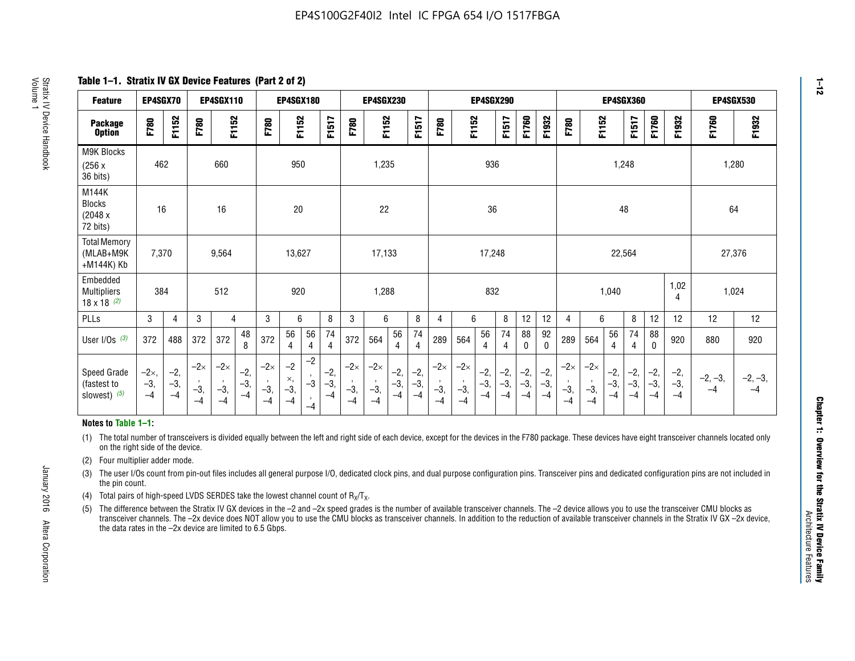**Table 1–1. Stratix IV GX Device Features (Part 2 of 2)**

| <b>Feature</b>                                       | EP4SGX70                      |                        |                             | <b>EP4SGX110</b>            |                        |                             | <b>EP4SGX180</b>            |                      |                        |                             | <b>EP4SGX230</b>            |                        |                        |                             |                             |                        | EP4SGX290            |                      |                      |                             |                             |                        | <b>EP4SGX360</b>       |                      |                        | EP4SGX530         |                   |
|------------------------------------------------------|-------------------------------|------------------------|-----------------------------|-----------------------------|------------------------|-----------------------------|-----------------------------|----------------------|------------------------|-----------------------------|-----------------------------|------------------------|------------------------|-----------------------------|-----------------------------|------------------------|----------------------|----------------------|----------------------|-----------------------------|-----------------------------|------------------------|------------------------|----------------------|------------------------|-------------------|-------------------|
| <b>Package</b><br><b>Option</b>                      | F780                          | F1152                  | F780                        | F1152                       |                        | F780                        | F1152                       |                      | F1517                  | F780                        | F1152                       |                        | <b>F1517</b>           | F780                        | F1152                       |                        | F1517                | F1760                | F1932                | F780                        | F1152                       |                        | F1517                  | F1760                | F1932                  | F1760             | F1932             |
| M9K Blocks<br>(256x)<br>36 bits)                     | 462                           |                        |                             | 660                         |                        |                             | 950                         |                      |                        |                             | 1,235                       |                        |                        |                             |                             | 936                    |                      |                      |                      |                             |                             | 1,248                  |                        |                      |                        | 1,280             |                   |
| M144K<br><b>Blocks</b><br>(2048 x<br>72 bits)        | 16                            |                        |                             | 16                          |                        |                             | 20                          |                      |                        |                             | 22                          |                        |                        |                             |                             | 36                     |                      |                      |                      |                             |                             | 48                     |                        |                      |                        | 64                |                   |
| <b>Total Memory</b><br>(MLAB+M9K<br>+M144K) Kb       | 7,370                         |                        |                             | 9,564                       |                        |                             | 13,627                      |                      |                        |                             | 17,133                      |                        |                        |                             |                             | 17,248                 |                      |                      |                      |                             |                             | 22,564                 |                        |                      |                        | 27,376            |                   |
| Embedded<br><b>Multipliers</b><br>$18 \times 18$ (2) | 384                           |                        |                             | 512                         |                        |                             | 920                         |                      |                        |                             | 1,288                       |                        |                        |                             |                             | 832                    |                      |                      |                      |                             |                             | 1,040                  |                        |                      | 1,02<br>4              | 1,024             |                   |
| PLLs                                                 | 3                             | $\overline{4}$         | 3                           | 4                           |                        | 3                           | 6                           |                      | 8                      | 3                           | 6                           |                        | 8                      | 4                           | 6                           |                        | 8                    | 12                   | 12                   | 4                           | 6                           |                        | 8                      | 12                   | 12                     | 12                | 12                |
| User I/Os $(3)$                                      | 372                           | 488                    | 372                         | 372                         | 48<br>8                | 372                         | 56<br>$\overline{4}$        | 56<br>4              | 74<br>$\overline{4}$   | 372                         | 564                         | 56<br>$\overline{4}$   | 74<br>$\overline{4}$   | 289                         | 564                         | 56<br>4                | 74<br>4              | 88<br>0              | 92<br>$\mathbf 0$    | 289                         | 564                         | 56<br>4                | 74<br>4                | 88<br>$\mathbf{0}$   | 920                    | 880               | 920               |
| Speed Grade<br>(fastest to<br>slowest) (5)           | $-2\times$ ,<br>$-3,$<br>$-4$ | $-2,$<br>$-3,$<br>$-4$ | $-2\times$<br>$-3,$<br>$-4$ | $-2\times$<br>$-3,$<br>$-4$ | $-2,$<br>$-3,$<br>$-4$ | $-2\times$<br>$-3,$<br>$-4$ | $-2$<br>×,<br>$-3,$<br>$-4$ | $-2$<br>$-3$<br>$-4$ | $-2,$<br>$-3,$<br>$-4$ | $-2\times$<br>$-3,$<br>$-4$ | $-2\times$<br>$-3,$<br>$-4$ | $-2,$<br>$-3,$<br>$-4$ | $-2,$<br>$-3,$<br>$-4$ | $-2\times$<br>$-3,$<br>$-4$ | $-2\times$<br>$-3,$<br>$-4$ | $-2,$<br>$-3,$<br>$-4$ | $-2,$<br>-3,<br>$-4$ | $-2,$<br>-3,<br>$-4$ | $-2,$<br>-3,<br>$-4$ | $-2\times$<br>$-3,$<br>$-4$ | $-2\times$<br>$-3,$<br>$-4$ | $-2,$<br>$-3,$<br>$-4$ | $-2,$<br>$-3,$<br>$-4$ | $-2,$<br>-3,<br>$-4$ | $-2,$<br>$-3,$<br>$-4$ | $-2, -3,$<br>$-4$ | $-2, -3,$<br>$-4$ |

#### **Notes to Table 1–1:**

(1) The total number of transceivers is divided equally between the left and right side of each device, except for the devices in the F780 package. These devices have eight transceiver channels located only on the right side of the device.

- (2) Four multiplier adder mode.
- (3) The user I/Os count from pin-out files includes all general purpose I/O, dedicated clock pins, and dual purpose configuration pins. Transceiver pins and dedicated configuration pins are not included in the pin count.
- (4) Total pairs of high-speed LVDS SERDES take the lowest channel count of  $R_X/T_X$ .
- (5) The difference between the Stratix IV GX devices in the –2 and –2x speed grades is the number of available transceiver channels. The –2 device allows you to use the transceiver CMU blocks as transceiver channels. The –2x device does NOT allow you to use the CMU blocks as transceiver channels. In addition to the reduction of available transceiver channels in the Stratix IV GX –2x device, the data rates in the –2x device are limited to 6.5 Gbps.

January 2016 Altera Corporation

Altera Corporation

January 2016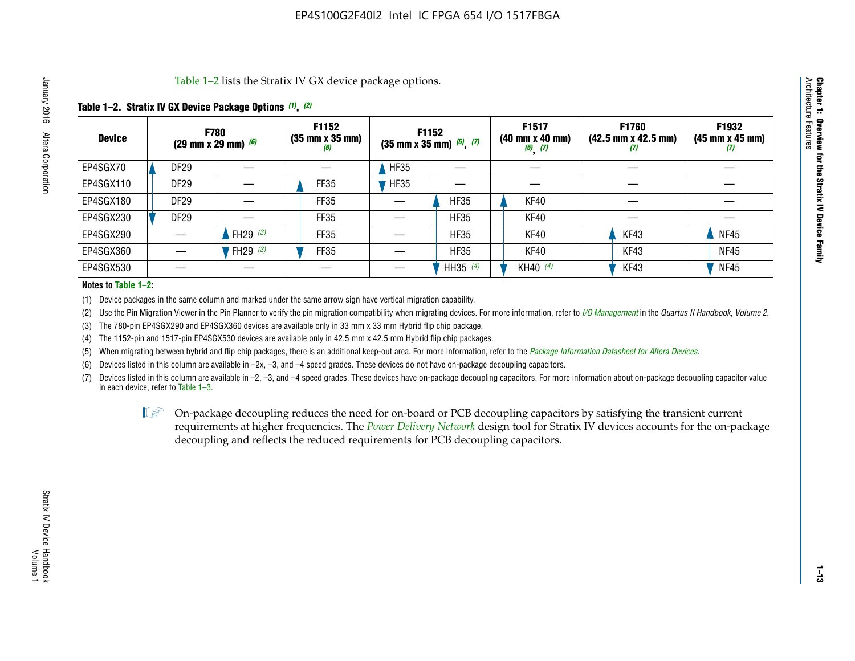Table 1–2 lists the Stratix IV GX device package options.

## **Table 1–2. Stratix IV GX Device Package Options** *(1)***,** *(2)*

| <b>Device</b> |             | <b>F780</b><br>(29 mm x 29 mm) $(6)$ | F1152<br>$(35 \, \text{mm} \times 35 \, \text{mm})$<br>(6) |             | <b>F1152</b><br>$(35$ mm x 35 mm) $(5)$ , $(7)$ | F1517<br>(40 mm x 40 mm)<br>$(5)$ $(7)$ | F1760<br>$(42.5 \text{ mm} \times 42.5 \text{ mm})$<br>$\boldsymbol{u}$ | F1932<br>$(45 \, \text{mm} \times 45 \, \text{mm})$<br>(7) |
|---------------|-------------|--------------------------------------|------------------------------------------------------------|-------------|-------------------------------------------------|-----------------------------------------|-------------------------------------------------------------------------|------------------------------------------------------------|
| EP4SGX70      | <b>DF29</b> |                                      |                                                            | <b>HF35</b> |                                                 |                                         |                                                                         |                                                            |
| EP4SGX110     | <b>DF29</b> |                                      | <b>FF35</b>                                                | <b>HF35</b> |                                                 |                                         |                                                                         |                                                            |
| EP4SGX180     | DF29        |                                      | FF35                                                       |             | <b>HF35</b>                                     | KF40                                    |                                                                         |                                                            |
| EP4SGX230     | <b>DF29</b> |                                      | FF35                                                       |             | <b>HF35</b>                                     | KF40                                    |                                                                         |                                                            |
| EP4SGX290     |             | FH29 $(3)$                           | FF35                                                       |             | <b>HF35</b>                                     | KF40                                    | KF43                                                                    | <b>NF45</b>                                                |
| EP4SGX360     |             | FH29 $(3)$                           | <b>FF35</b>                                                |             | <b>HF35</b>                                     | KF40                                    | KF43                                                                    | <b>NF45</b>                                                |
| EP4SGX530     |             |                                      |                                                            |             | HH35 $(4)$                                      | KH40 (4)                                | KF43                                                                    | <b>NF45</b>                                                |

#### **Notes to Table 1–2:**

(1) Device packages in the same column and marked under the same arrow sign have vertical migration capability.

(2) Use the Pin Migration Viewer in the Pin Planner to verify the pin migration compatibility when migrating devices. For more information, refer to *[I/O Management](http://www.altera.com/literature/hb/qts/qts_qii52013.pdf)* in the *Quartus II Handbook, Volume 2*.

(3) The 780-pin EP4SGX290 and EP4SGX360 devices are available only in 33 mm x 33 mm Hybrid flip chip package.

(4) The 1152-pin and 1517-pin EP4SGX530 devices are available only in 42.5 mm x 42.5 mm Hybrid flip chip packages.

(5) When migrating between hybrid and flip chip packages, there is an additional keep-out area. For more information, refer to the *[Package Information Datasheet for Altera Devices](http://www.altera.com/literature/ds/dspkg.pdf)*.

(6) Devices listed in this column are available in –2x, –3, and –4 speed grades. These devices do not have on-package decoupling capacitors.

(7) Devices listed in this column are available in –2, –3, and –4 speed grades. These devices have on-package decoupling capacitors. For more information about on-package decoupling capacitor value in each device, refer to Table 1–3.

 $\mathbb{D}$  On-package decoupling reduces the need for on-board or PCB decoupling capacitors by satisfying the transient current requirements at higher frequencies. The *[Power Delivery Network](http://www.altera.com/literature/ug/pdn_tool_stxiv.zip)* design tool for Stratix IV devices accounts for the on-package decoupling and reflects the reduced requirements for PCB decoupling capacitors.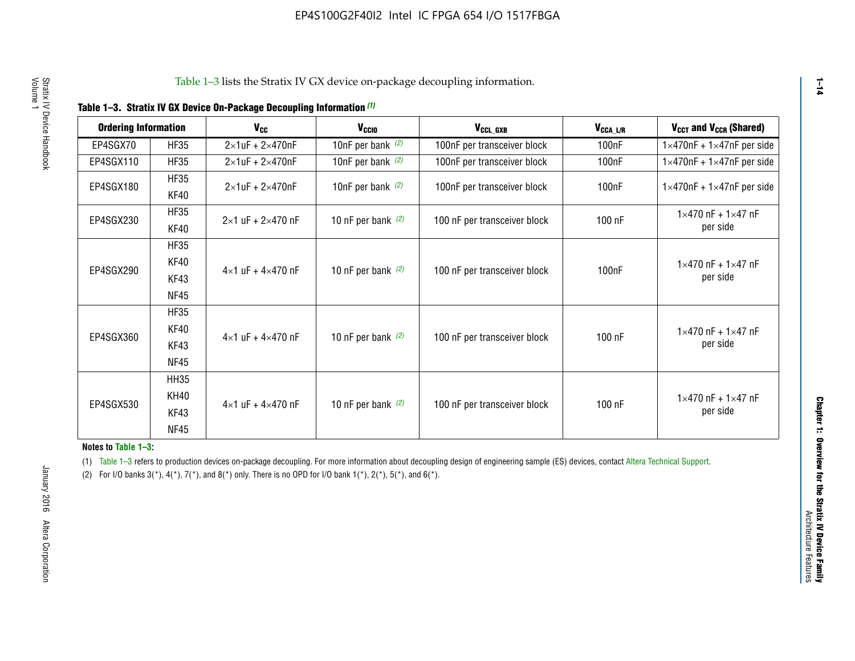|  |  | Table 1-3. Stratix IV GX Device On-Package Decoupling Information (1) |  |  |
|--|--|-----------------------------------------------------------------------|--|--|
|--|--|-----------------------------------------------------------------------|--|--|

| <b>Ordering Information</b> |                            | <b>V<sub>cc</sub></b>               | V <sub>ccio</sub>    | V <sub>CCL GXB</sub>         | V <sub>CCA_L/R</sub> | V <sub>CCT</sub> and V <sub>CCR</sub> (Shared)   |
|-----------------------------|----------------------------|-------------------------------------|----------------------|------------------------------|----------------------|--------------------------------------------------|
| EP4SGX70                    | <b>HF35</b>                | $2\times1$ uF + $2\times470$ nF     | 10nF per bank $(2)$  | 100nF per transceiver block  | 100 <sub>n</sub> F   | $1 \times 470$ nF + $1 \times 47$ nF per side    |
| EP4SGX110                   | <b>HF35</b>                | $2\times1$ uF + $2\times470$ nF     | 10nF per bank $(2)$  | 100nF per transceiver block  | 100 <sub>n</sub> F   | $1\times470$ nF + $1\times47$ nF per side        |
| EP4SGX180                   | <b>HF35</b><br>KF40        | $2\times1$ uF + $2\times470$ nF     | 10nF per bank $(2)$  | 100nF per transceiver block  | 100 <sub>n</sub> F   | $1 \times 470$ nF + $1 \times 47$ nF per side    |
| EP4SGX230                   | <b>HF35</b><br>KF40        | $2 \times 1$ uF + $2 \times 470$ nF | 10 nF per bank $(2)$ | 100 nF per transceiver block | 100 nF               | $1 \times 470$ nF + $1 \times 47$ nF<br>per side |
|                             | <b>HF35</b><br><b>KF40</b> |                                     |                      |                              |                      | $1 \times 470$ nF + $1 \times 47$ nF             |
| EP4SGX290                   | KF43<br><b>NF45</b>        | $4 \times 1$ uF + $4 \times 470$ nF | 10 nF per bank $(2)$ | 100 nF per transceiver block | 100nF                | per side                                         |
|                             | <b>HF35</b><br>KF40        |                                     |                      |                              |                      | $1 \times 470$ nF + $1 \times 47$ nF             |
| EP4SGX360                   | KF43<br><b>NF45</b>        | $4 \times 1$ uF + $4 \times 470$ nF | 10 nF per bank $(2)$ | 100 nF per transceiver block | 100 nF               | per side                                         |
|                             | <b>HH35</b>                |                                     |                      |                              |                      |                                                  |
| EP4SGX530                   | <b>KH40</b><br>KF43        | $4 \times 1$ uF + $4 \times 470$ nF | 10 nF per bank $(2)$ | 100 nF per transceiver block | 100 nF               | $1 \times 470$ nF + $1 \times 47$ nF<br>per side |
|                             | <b>NF45</b>                |                                     |                      |                              |                      |                                                  |

**Notes to Table 1–3:**

(1) Table 1-3 refers to production devices on-package decoupling. For more information about decoupling design of engineering sample (ES) devices, contact [Altera Technical Support](http://mysupport.altera.com/eservice/login.asp).

(2) For I/O banks  $3(*)$ ,  $4(*)$ ,  $7(*)$ , and  $8(*)$  only. There is no OPD for I/O bank  $1(*)$ ,  $2(*)$ ,  $5(*)$ , and  $6(*)$ .

**1–14**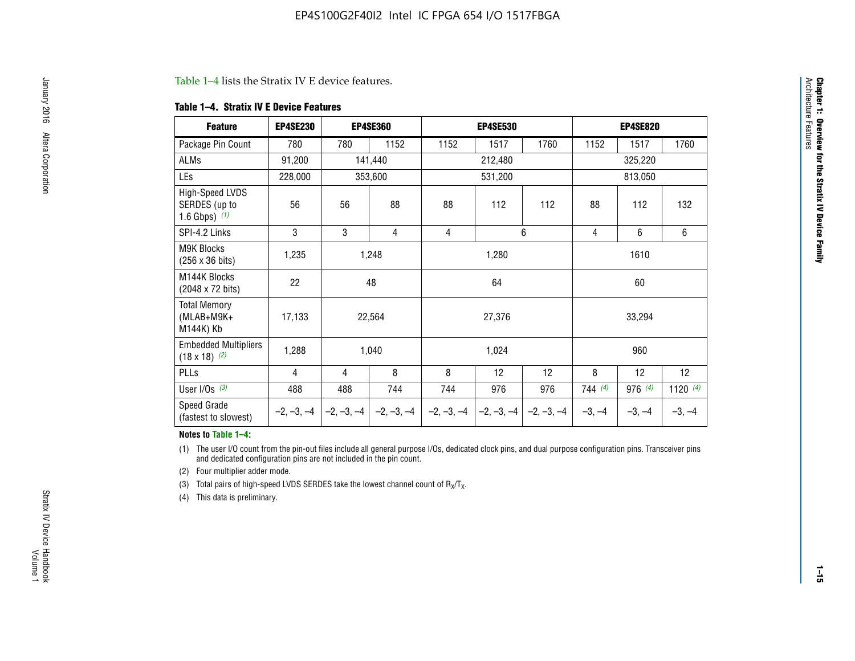#### Table 1–4 lists the Stratix IV E device features.

#### **Table 1–4. Stratix IV E Device Features**

| <b>Feature</b>                                      | <b>EP4SE230</b> |     | <b>EP4SE360</b>                        |              | <b>EP4SE530</b> |              |          | <b>EP4SE820</b> |            |  |
|-----------------------------------------------------|-----------------|-----|----------------------------------------|--------------|-----------------|--------------|----------|-----------------|------------|--|
| Package Pin Count                                   | 780             | 780 | 1152                                   | 1152         | 1517            | 1760         | 1152     | 1517            | 1760       |  |
| ALMs                                                | 91,200          |     | 141,440                                |              | 212,480         |              |          | 325,220         |            |  |
| LEs                                                 | 228,000         |     | 353,600                                |              | 531,200         |              |          | 813,050         |            |  |
| High-Speed LVDS<br>SERDES (up to<br>1.6 Gbps) $(1)$ | 56              | 56  | 88                                     | 88           | 112             | 112          | 88       | 112             | 132        |  |
| SPI-4.2 Links                                       | 3               | 3   | 4                                      | 4            |                 | 6            | 4        | 6               | 6          |  |
| <b>M9K Blocks</b><br>(256 x 36 bits)                | 1,235           |     | 1,248                                  |              | 1,280           |              |          | 1610            |            |  |
| M144K Blocks<br>(2048 x 72 bits)                    | 22              |     | 48                                     |              | 64              |              |          | 60              |            |  |
| <b>Total Memory</b><br>$(MLAB+M9K+$<br>M144K) Kb    | 17,133          |     | 22,564                                 |              | 27,376          |              |          | 33,294          |            |  |
| <b>Embedded Multipliers</b><br>$(18 \times 18)$ (2) | 1,288           |     | 1,040                                  |              | 1,024           |              |          | 960             |            |  |
| PLLs                                                | 4               | 4   | 8                                      | 8            | 12              | 12           | 8        | 12              | 12         |  |
| User I/Os $(3)$                                     | 488             | 488 | 744                                    | 744          | 976             | 976          | 744(4)   | 976 (4)         | 1120 $(4)$ |  |
| Speed Grade<br>(fastest to slowest)                 |                 |     | $-2, -3, -4$ $-2, -3, -4$ $-2, -3, -4$ | $-2, -3, -4$ | $-2, -3, -4$    | $-2, -3, -4$ | $-3, -4$ | $-3, -4$        | $-3, -4$   |  |

#### **Notes to Table 1–4:**

(1) The user I/O count from the pin-out files include all general purpose I/Os, dedicated clock pins, and dual purpose configuration pins. Transceiver pins and dedicated configuration pins are not included in the pin count.

(2) Four multiplier adder mode.

(3) Total pairs of high-speed LVDS SERDES take the lowest channel count of  $R_X/T_X$ .

(4) This data is preliminary.

**Chapter 1: Overview for the Stratix IV Device Family**

**Chapter 1: Overview for the Stratix IV Device Family**<br>Architecture Faatures

Architecture Features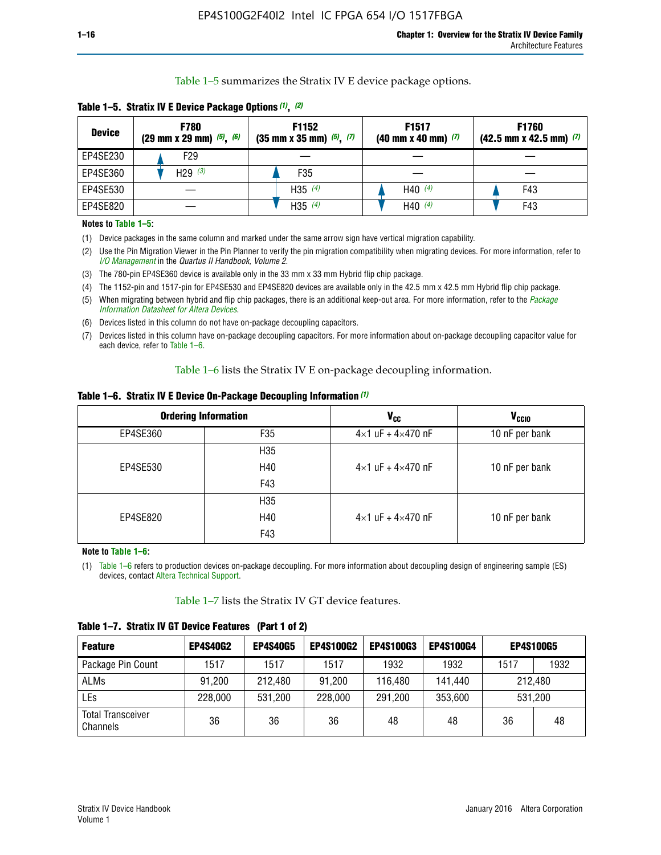Table 1–5 summarizes the Stratix IV E device package options.

| <b>Device</b> | <b>F780</b><br>$(29 \text{ mm} \times 29 \text{ mm})$ $(5)$ , $(6)$ | F1152<br>$(35 \text{ mm} \times 35 \text{ mm})$ $(5)$ , $(7)$ | F <sub>1517</sub><br>$(40 \text{ mm} \times 40 \text{ mm})$ (7) | <b>F1760</b><br>$(42.5$ mm x 42.5 mm) $(7)$ |
|---------------|---------------------------------------------------------------------|---------------------------------------------------------------|-----------------------------------------------------------------|---------------------------------------------|
| EP4SE230      | F29                                                                 |                                                               |                                                                 |                                             |
| EP4SE360      | H <sub>29</sub> $(3)$                                               | F35                                                           |                                                                 |                                             |
| EP4SE530      |                                                                     | H35 $(4)$                                                     | H40 $(4)$                                                       | F43                                         |
| EP4SE820      |                                                                     | H35 $(4)$                                                     | H40 $(4)$                                                       | F43                                         |

**Table 1–5. Stratix IV E Device Package Options** *(1)***,** *(2)*

#### **Notes to Table 1–5:**

(1) Device packages in the same column and marked under the same arrow sign have vertical migration capability.

(2) Use the Pin Migration Viewer in the Pin Planner to verify the pin migration compatibility when migrating devices. For more information, refer to *[I/O Management](http://www.altera.com/literature/hb/qts/qts_qii52013.pdf)* in the *Quartus II Handbook, Volume 2*.

(3) The 780-pin EP4SE360 device is available only in the 33 mm x 33 mm Hybrid flip chip package.

(4) The 1152-pin and 1517-pin for EP4SE530 and EP4SE820 devices are available only in the 42.5 mm x 42.5 mm Hybrid flip chip package.

(5) When migrating between hybrid and flip chip packages, there is an additional keep-out area. For more information, refer to the *[Package](http://www.altera.com/literature/ds/dspkg.pdf)  [Information Datasheet for Altera Devices](http://www.altera.com/literature/ds/dspkg.pdf)*.

(6) Devices listed in this column do not have on-package decoupling capacitors.

(7) Devices listed in this column have on-package decoupling capacitors. For more information about on-package decoupling capacitor value for each device, refer to Table 1–6.

Table 1–6 lists the Stratix IV E on-package decoupling information.

| Table 1–6. Stratix IV E Device On-Package Decoupling Information (1) |  |  |  |  |  |
|----------------------------------------------------------------------|--|--|--|--|--|
|----------------------------------------------------------------------|--|--|--|--|--|

|          | <b>Ordering Information</b> | <b>V<sub>cc</sub></b>               | <b>V<sub>CCIO</sub></b> |
|----------|-----------------------------|-------------------------------------|-------------------------|
| EP4SE360 | F <sub>35</sub>             | $4 \times 1$ uF + $4 \times 470$ nF | 10 nF per bank          |
|          | H <sub>35</sub>             |                                     |                         |
| EP4SE530 | H40                         | $4 \times 1$ uF + $4 \times 470$ nF | 10 nF per bank          |
|          | F43                         |                                     |                         |
|          | H <sub>35</sub>             |                                     |                         |
| EP4SE820 | H40                         | $4 \times 1$ uF + $4 \times 470$ nF | 10 nF per bank          |
|          | F43                         |                                     |                         |

**Note to Table 1–6:**

(1) Table 1–6 refers to production devices on-package decoupling. For more information about decoupling design of engineering sample (ES) devices, contact [Altera Technical Support](http://mysupport.altera.com/eservice/login.asp).

Table 1–7 lists the Stratix IV GT device features.

| <b>Feature</b>                       | <b>EP4S40G2</b> | <b>EP4S40G5</b> | <b>EP4S100G2</b> | <b>EP4S100G3</b> | <b>EP4S100G4</b> | <b>EP4S100G5</b> |         |
|--------------------------------------|-----------------|-----------------|------------------|------------------|------------------|------------------|---------|
| Package Pin Count                    | 1517            | 1517            | 1517             | 1932             | 1932             | 1517             | 1932    |
| <b>ALMs</b>                          | 91,200          | 212,480         | 91,200           | 116,480          | 141,440          | 212.480          |         |
| LEs                                  | 228,000         | 531,200         | 228,000          | 291,200          | 353,600          |                  | 531,200 |
| <b>Total Transceiver</b><br>Channels | 36              | 36              | 36               | 48               | 48               | 36               | 48      |

**Table 1–7. Stratix IV GT Device Features (Part 1 of 2)**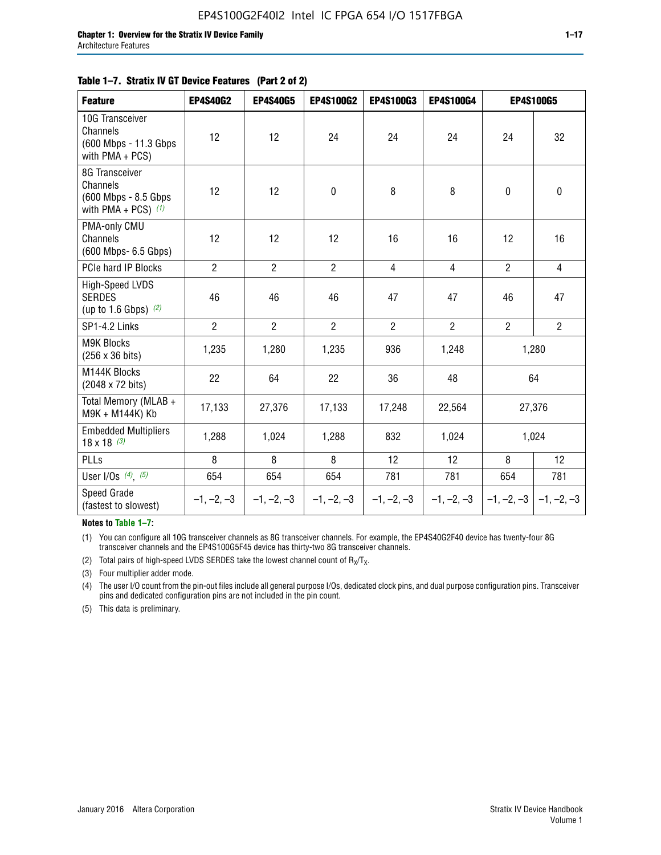#### **Table 1–7. Stratix IV GT Device Features (Part 2 of 2)**

| <b>Feature</b>                                                              | <b>EP4S40G2</b> | <b>EP4S40G5</b> | <b>EP4S100G2</b> | <b>EP4S100G3</b> | <b>EP4S100G4</b> | <b>EP4S100G5</b> |                           |
|-----------------------------------------------------------------------------|-----------------|-----------------|------------------|------------------|------------------|------------------|---------------------------|
| 10G Transceiver<br>Channels<br>(600 Mbps - 11.3 Gbps<br>with PMA + PCS)     | 12              | 12              | 24               | 24               | 24               | 24               | 32                        |
| 8G Transceiver<br>Channels<br>(600 Mbps - 8.5 Gbps<br>with PMA + PCS) $(1)$ | 12              | 12              | $\pmb{0}$        | 8                | 8                | $\mathbf 0$      | 0                         |
| PMA-only CMU<br>Channels<br>(600 Mbps- 6.5 Gbps)                            | 12              | 12              | 12               | 16               | 16               | 12               | 16                        |
| PCIe hard IP Blocks                                                         | $\overline{2}$  | $\overline{2}$  | $\overline{2}$   | $\overline{4}$   | $\overline{4}$   | $\overline{2}$   | $\overline{4}$            |
| <b>High-Speed LVDS</b><br><b>SERDES</b><br>(up to 1.6 Gbps) $(2)$           | 46              | 46              | 46               | 47               | 47               | 46               | 47                        |
| SP1-4.2 Links                                                               | $\overline{2}$  | $\overline{2}$  | $\overline{2}$   | $\overline{2}$   | $\overline{2}$   | $\overline{2}$   | $\overline{2}$            |
| <b>M9K Blocks</b><br>(256 x 36 bits)                                        | 1,235           | 1,280           | 1,235            | 936              | 1,248            |                  | 1,280                     |
| M144K Blocks<br>(2048 x 72 bits)                                            | 22              | 64              | 22               | 36               | 48               |                  | 64                        |
| Total Memory (MLAB +<br>M9K + M144K) Kb                                     | 17,133          | 27,376          | 17,133           | 17,248           | 22,564           |                  | 27,376                    |
| <b>Embedded Multipliers</b><br>$18 \times 18^{(3)}$                         | 1,288           | 1,024           | 1,288            | 832              | 1,024            |                  | 1,024                     |
| PLLs                                                                        | 8               | 8               | 8                | 12               | 12               | 8                | 12                        |
| User I/Os $(4)$ , $(5)$                                                     | 654             | 654             | 654              | 781              | 781              | 654              | 781                       |
| Speed Grade<br>(fastest to slowest)                                         | $-1, -2, -3$    | $-1, -2, -3$    | $-1, -2, -3$     | $-1, -2, -3$     | $-1, -2, -3$     |                  | $-1, -2, -3$ $-1, -2, -3$ |

**Notes to Table 1–7:**

(1) You can configure all 10G transceiver channels as 8G transceiver channels. For example, the EP4S40G2F40 device has twenty-four 8G transceiver channels and the EP4S100G5F45 device has thirty-two 8G transceiver channels.

(2) Total pairs of high-speed LVDS SERDES take the lowest channel count of  $R_X/T_X$ .

(3) Four multiplier adder mode.

(4) The user I/O count from the pin-out files include all general purpose I/Os, dedicated clock pins, and dual purpose configuration pins. Transceiver pins and dedicated configuration pins are not included in the pin count.

(5) This data is preliminary.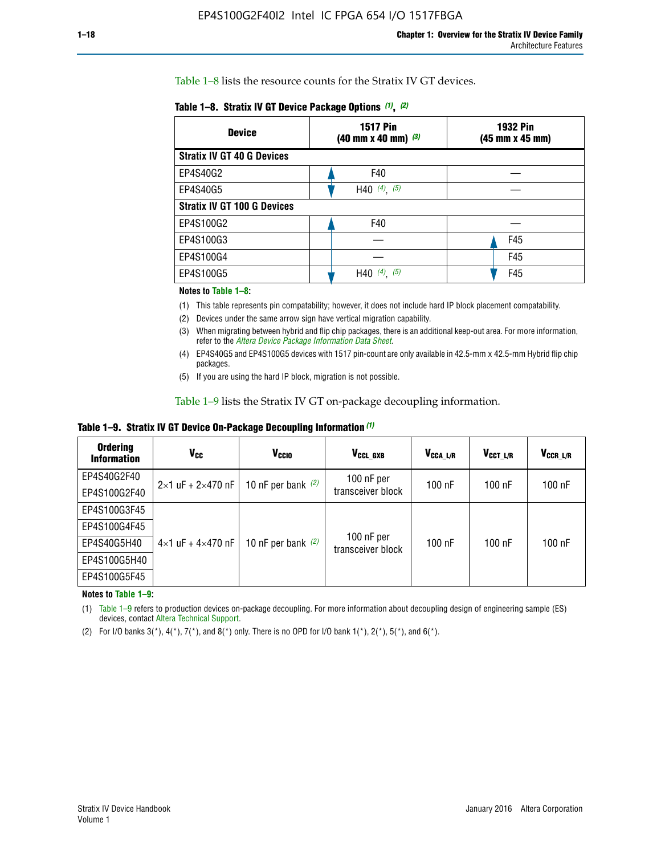Table 1–8 lists the resource counts for the Stratix IV GT devices.

| <b>Device</b>                      | <b>1517 Pin</b><br>$(40 \text{ mm} \times 40 \text{ mm})$ $(3)$ | <b>1932 Pin</b><br>(45 mm x 45 mm) |  |
|------------------------------------|-----------------------------------------------------------------|------------------------------------|--|
| <b>Stratix IV GT 40 G Devices</b>  |                                                                 |                                    |  |
| EP4S40G2                           | F40                                                             |                                    |  |
| EP4S40G5                           | H40 $(4)$ , $(5)$                                               |                                    |  |
| <b>Stratix IV GT 100 G Devices</b> |                                                                 |                                    |  |
| EP4S100G2                          | F40                                                             |                                    |  |
| EP4S100G3                          |                                                                 | F45                                |  |
| EP4S100G4                          |                                                                 | F45                                |  |
| EP4S100G5                          | (5)<br>$(4)$ ,<br>H40                                           | F45                                |  |

#### **Notes to Table 1–8:**

(1) This table represents pin compatability; however, it does not include hard IP block placement compatability.

- (2) Devices under the same arrow sign have vertical migration capability.
- (3) When migrating between hybrid and flip chip packages, there is an additional keep-out area. For more information, refer to the *[Altera Device Package Information Data Sheet](http://www.altera.com/literature/ds/dspkg.pdf)*.
- (4) EP4S40G5 and EP4S100G5 devices with 1517 pin-count are only available in 42.5-mm x 42.5-mm Hybrid flip chip packages.
- (5) If you are using the hard IP block, migration is not possible.

Table 1–9 lists the Stratix IV GT on-package decoupling information.

**Table 1–9. Stratix IV GT Device On-Package Decoupling Information** *(1)*

| <b>Ordering</b><br><b>Information</b> | Vcc                                 | <b>V<sub>CCIO</sub></b> | V <sub>CCL GXB</sub>            | V <sub>CCA L/R</sub> | V <sub>CCT L/R</sub> | $V_{CCR\_L/R}$ |
|---------------------------------------|-------------------------------------|-------------------------|---------------------------------|----------------------|----------------------|----------------|
| EP4S40G2F40                           | $2 \times 1$ uF + $2 \times 470$ nF | 10 nF per bank $(2)$    | 100 nF per<br>transceiver block | $100$ nF             | $100$ nF             | $100$ nF       |
| EP4S100G2F40                          |                                     |                         |                                 |                      |                      |                |
| EP4S100G3F45                          |                                     | 10 nF per bank $(2)$    | 100 nF per<br>transceiver block | $100$ nF             | $100$ nF             | $100$ nF       |
| EP4S100G4F45                          |                                     |                         |                                 |                      |                      |                |
| EP4S40G5H40                           | $4\times1$ uF + $4\times470$ nF     |                         |                                 |                      |                      |                |
| EP4S100G5H40                          |                                     |                         |                                 |                      |                      |                |
| EP4S100G5F45                          |                                     |                         |                                 |                      |                      |                |

**Notes to Table 1–9:**

(1) Table 1–9 refers to production devices on-package decoupling. For more information about decoupling design of engineering sample (ES) devices, contact [Altera Technical Support](http://mysupport.altera.com/eservice/login.asp).

(2) For I/O banks  $3(*)$ ,  $4(*)$ ,  $7(*)$ , and  $8(*)$  only. There is no OPD for I/O bank  $1(*)$ ,  $2(*)$ ,  $5(*)$ , and  $6(*)$ .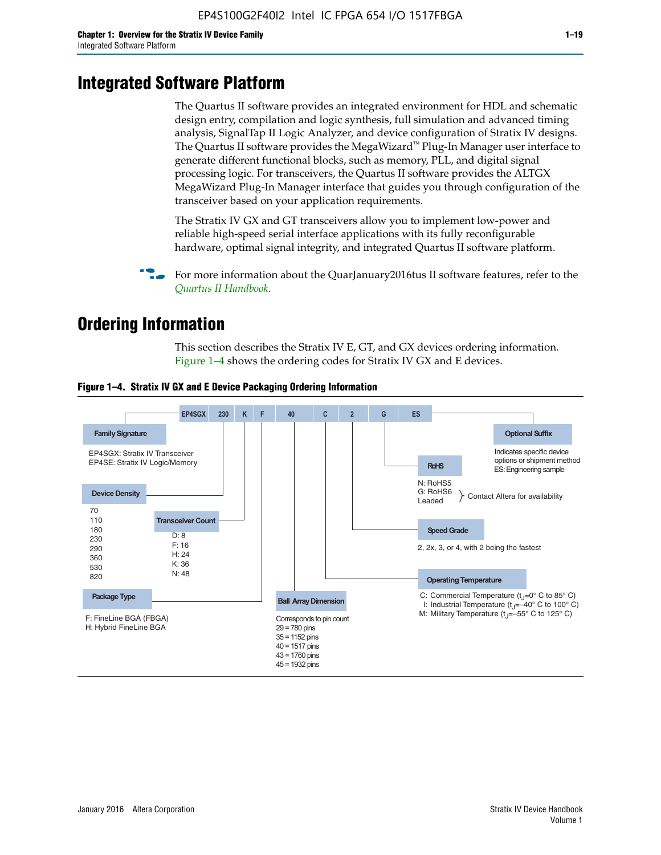# **Integrated Software Platform**

The Quartus II software provides an integrated environment for HDL and schematic design entry, compilation and logic synthesis, full simulation and advanced timing analysis, SignalTap II Logic Analyzer, and device configuration of Stratix IV designs. The Quartus II software provides the MegaWizard<sup> $M$ </sup> Plug-In Manager user interface to generate different functional blocks, such as memory, PLL, and digital signal processing logic. For transceivers, the Quartus II software provides the ALTGX MegaWizard Plug-In Manager interface that guides you through configuration of the transceiver based on your application requirements.

The Stratix IV GX and GT transceivers allow you to implement low-power and reliable high-speed serial interface applications with its fully reconfigurable hardware, optimal signal integrity, and integrated Quartus II software platform.

For more information about the QuarJanuary2016tus II software features, refer to the *[Quartus II Handbook](http://www.altera.com/literature/lit-qts.jsp)*.

# **Ordering Information**

This section describes the Stratix IV E, GT, and GX devices ordering information. Figure 1–4 shows the ordering codes for Stratix IV GX and E devices.



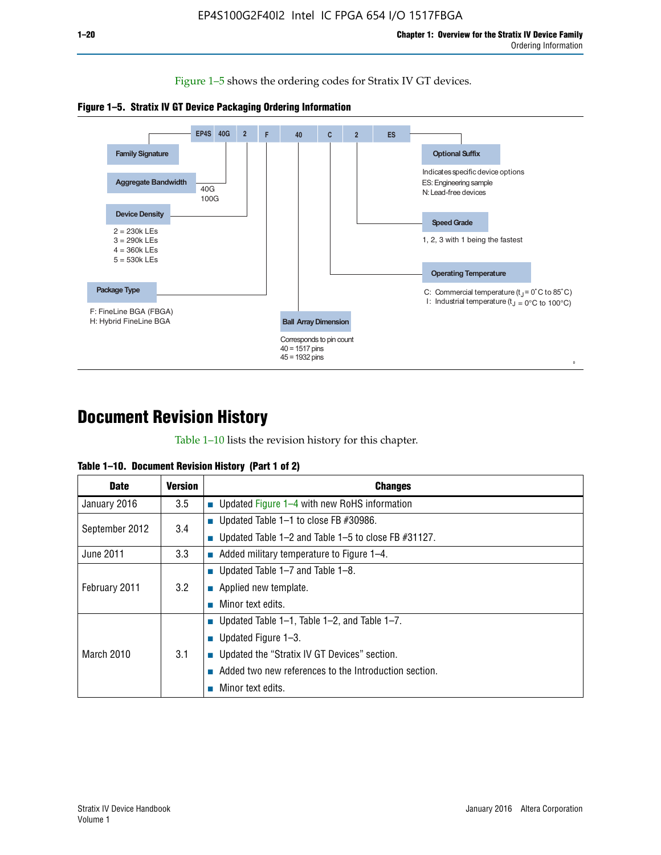Figure 1–5 shows the ordering codes for Stratix IV GT devices.





# **Document Revision History**

Table 1–10 lists the revision history for this chapter.

| <b>Date</b>       | Version | <b>Changes</b>                                         |
|-------------------|---------|--------------------------------------------------------|
| January 2016      | 3.5     | <b>Updated Figure 1–4 with new RoHS information</b>    |
| September 2012    | 3.4     | ■ Updated Table 1–1 to close FB $#30986$ .             |
|                   |         | Updated Table 1–2 and Table 1–5 to close FB $#31127$ . |
| June 2011         | 3.3     | Added military temperature to Figure 1–4.              |
| February 2011     | 3.2     | ■ Updated Table 1–7 and Table 1–8.                     |
|                   |         | $\blacksquare$ Applied new template.                   |
|                   |         | Minor text edits.                                      |
| <b>March 2010</b> | 3.1     | <b>Updated Table 1–1, Table 1–2, and Table 1–7.</b>    |
|                   |         | ■ Updated Figure $1-3$ .                               |
|                   |         | ■ Updated the "Stratix IV GT Devices" section.         |
|                   |         | Added two new references to the Introduction section.  |
|                   |         | Minor text edits.                                      |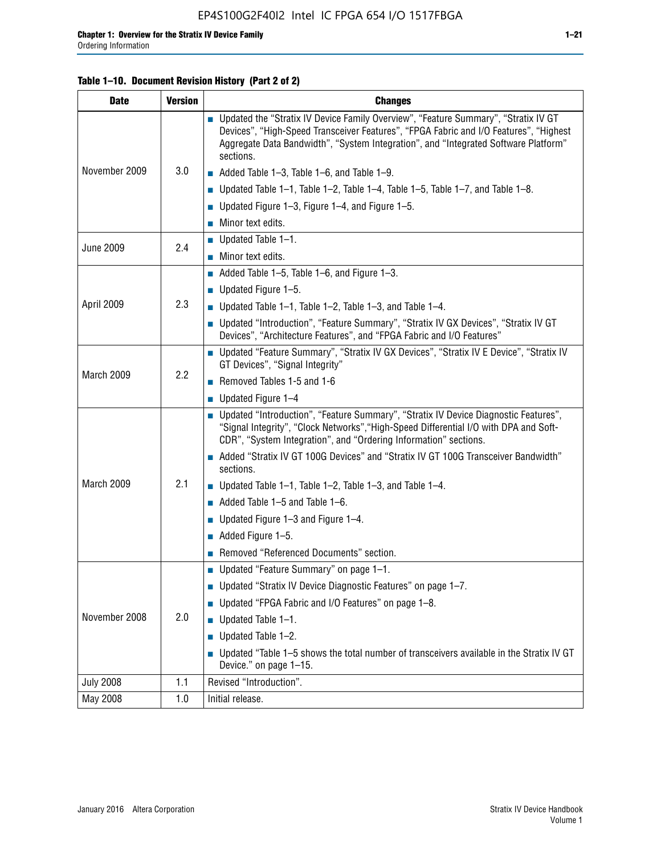#### **Table 1–10. Document Revision History (Part 2 of 2)**

| <b>Date</b>      | <b>Version</b> | <b>Changes</b>                                                                                                                                                                                                                                                                    |  |
|------------------|----------------|-----------------------------------------------------------------------------------------------------------------------------------------------------------------------------------------------------------------------------------------------------------------------------------|--|
| November 2009    | 3.0            | ■ Updated the "Stratix IV Device Family Overview", "Feature Summary", "Stratix IV GT<br>Devices", "High-Speed Transceiver Features", "FPGA Fabric and I/O Features", "Highest<br>Aggregate Data Bandwidth", "System Integration", and "Integrated Software Platform"<br>sections. |  |
|                  |                | $\blacksquare$ Added Table 1-3, Table 1-6, and Table 1-9.                                                                                                                                                                                                                         |  |
|                  |                | $\blacksquare$ Updated Table 1-1, Table 1-2, Table 1-4, Table 1-5, Table 1-7, and Table 1-8.                                                                                                                                                                                      |  |
|                  |                | ■ Updated Figure 1–3, Figure 1–4, and Figure 1–5.                                                                                                                                                                                                                                 |  |
|                  |                | $\blacksquare$ Minor text edits.                                                                                                                                                                                                                                                  |  |
|                  | 2.4            | $\blacksquare$ Updated Table 1-1.                                                                                                                                                                                                                                                 |  |
| <b>June 2009</b> |                | Minor text edits.                                                                                                                                                                                                                                                                 |  |
|                  |                | $\blacksquare$ Added Table 1–5, Table 1–6, and Figure 1–3.                                                                                                                                                                                                                        |  |
|                  |                | $\blacksquare$ Updated Figure 1-5.                                                                                                                                                                                                                                                |  |
| April 2009       | 2.3            | Updated Table $1-1$ , Table $1-2$ , Table $1-3$ , and Table $1-4$ .                                                                                                                                                                                                               |  |
|                  |                | ■ Updated "Introduction", "Feature Summary", "Stratix IV GX Devices", "Stratix IV GT<br>Devices", "Architecture Features", and "FPGA Fabric and I/O Features"                                                                                                                     |  |
| March 2009       | 2.2            | ■ Updated "Feature Summary", "Stratix IV GX Devices", "Stratix IV E Device", "Stratix IV<br>GT Devices", "Signal Integrity"                                                                                                                                                       |  |
|                  |                | Removed Tables 1-5 and 1-6                                                                                                                                                                                                                                                        |  |
|                  |                | Updated Figure 1-4                                                                                                                                                                                                                                                                |  |
|                  |                | ■ Updated "Introduction", "Feature Summary", "Stratix IV Device Diagnostic Features",<br>"Signal Integrity", "Clock Networks", "High-Speed Differential I/O with DPA and Soft-<br>CDR", "System Integration", and "Ordering Information" sections.                                |  |
|                  |                | Added "Stratix IV GT 100G Devices" and "Stratix IV GT 100G Transceiver Bandwidth"<br>sections.                                                                                                                                                                                    |  |
| March 2009       | 2.1            | <b>Updated Table 1–1, Table 1–2, Table 1–3, and Table 1–4.</b>                                                                                                                                                                                                                    |  |
|                  |                | $\blacksquare$ Added Table 1-5 and Table 1-6.                                                                                                                                                                                                                                     |  |
|                  |                | ■ Updated Figure $1-3$ and Figure $1-4$ .                                                                                                                                                                                                                                         |  |
|                  |                | $\blacksquare$ Added Figure 1-5.                                                                                                                                                                                                                                                  |  |
|                  |                | Removed "Referenced Documents" section.                                                                                                                                                                                                                                           |  |
|                  |                | Updated "Feature Summary" on page 1-1.                                                                                                                                                                                                                                            |  |
| November 2008    | 2.0            | ■ Updated "Stratix IV Device Diagnostic Features" on page 1-7.                                                                                                                                                                                                                    |  |
|                  |                | Updated "FPGA Fabric and I/O Features" on page 1-8.                                                                                                                                                                                                                               |  |
|                  |                | $\blacksquare$ Updated Table 1-1.                                                                                                                                                                                                                                                 |  |
|                  |                | Updated Table 1-2.                                                                                                                                                                                                                                                                |  |
|                  |                | Updated "Table 1-5 shows the total number of transceivers available in the Stratix IV GT<br>Device." on page 1-15.                                                                                                                                                                |  |
| <b>July 2008</b> | 1.1            | Revised "Introduction".                                                                                                                                                                                                                                                           |  |
| May 2008         | 1.0            | Initial release.                                                                                                                                                                                                                                                                  |  |